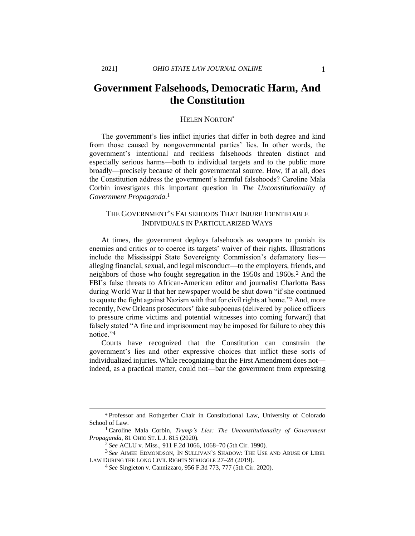# **Government Falsehoods, Democratic Harm, And the Constitution**

## HELEN NORTON\*

The government's lies inflict injuries that differ in both degree and kind from those caused by nongovernmental parties' lies. In other words, the government's intentional and reckless falsehoods threaten distinct and especially serious harms—both to individual targets and to the public more broadly—precisely because of their governmental source. How, if at all, does the Constitution address the government's harmful falsehoods? Caroline Mala Corbin investigates this important question in *The Unconstitutionality of Government Propaganda.* 1

# THE GOVERNMENT'S FALSEHOODS THAT INJURE IDENTIFIABLE INDIVIDUALS IN PARTICULARIZED WAYS

At times, the government deploys falsehoods as weapons to punish its enemies and critics or to coerce its targets' waiver of their rights. Illustrations include the Mississippi State Sovereignty Commission's defamatory lies alleging financial, sexual, and legal misconduct—to the employers, friends, and neighbors of those who fought segregation in the 1950s and 1960s.<sup>2</sup> And the FBI's false threats to African-American editor and journalist Charlotta Bass during World War II that her newspaper would be shut down "if she continued to equate the fight against Nazism with that for civil rights at home."<sup>3</sup> And, more recently, New Orleans prosecutors' fake subpoenas (delivered by police officers to pressure crime victims and potential witnesses into coming forward) that falsely stated "A fine and imprisonment may be imposed for failure to obey this notice."<sup>4</sup>

Courts have recognized that the Constitution can constrain the government's lies and other expressive choices that inflict these sorts of individualized injuries. While recognizing that the First Amendment does not indeed, as a practical matter, could not—bar the government from expressing

<sup>\*</sup> Professor and Rothgerber Chair in Constitutional Law, University of Colorado School of Law.

<sup>1</sup>Caroline Mala Corbin, *Trump's Lies: The Unconstitutionality of Government Propaganda*, 81 OHIO ST. L.J. 815 (2020).

<sup>2</sup> *See* ACLU v. Miss., 911 F.2d 1066, 1068–70 (5th Cir. 1990).

<sup>3</sup> *See* AIMEE EDMONDSON, IN SULLIVAN'S SHADOW: THE USE AND ABUSE OF LIBEL LAW DURING THE LONG CIVIL RIGHTS STRUGGLE 27–28 (2019).

<sup>4</sup> *See* Singleton v. Cannizzaro, 956 F.3d 773, 777 (5th Cir. 2020).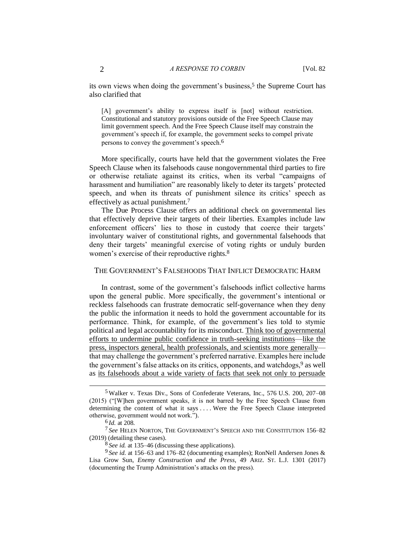its own views when doing the government's business,<sup>5</sup> the Supreme Court has also clarified that

[A] government's ability to express itself is [not] without restriction. Constitutional and statutory provisions outside of the Free Speech Clause may limit government speech. And the Free Speech Clause itself may constrain the government's speech if, for example, the government seeks to compel private persons to convey the government's speech.6

More specifically, courts have held that the government violates the Free Speech Clause when its falsehoods cause nongovernmental third parties to fire or otherwise retaliate against its critics, when its verbal "campaigns of harassment and humiliation" are reasonably likely to deter its targets' protected speech, and when its threats of punishment silence its critics' speech as effectively as actual punishment.<sup>7</sup>

The Due Process Clause offers an additional check on governmental lies that effectively deprive their targets of their liberties. Examples include law enforcement officers' lies to those in custody that coerce their targets' involuntary waiver of constitutional rights, and governmental falsehoods that deny their targets' meaningful exercise of voting rights or unduly burden women's exercise of their reproductive rights.<sup>8</sup>

### THE GOVERNMENT'S FALSEHOODS THAT INFLICT DEMOCRATIC HARM

In contrast, some of the government's falsehoods inflict collective harms upon the general public. More specifically, the government's intentional or reckless falsehoods can frustrate democratic self-governance when they deny the public the information it needs to hold the government accountable for its performance. Think, for example, of the government's lies told to stymie political and legal accountability for its misconduct. [Think too of governmental](https://perma.cc/6LQF-EWRK)  [efforts to undermine public confidence in truth-seeking institutions—](https://perma.cc/6LQF-EWRK)[like the](https://perma.cc/H3QD-SJJ6)  [press, inspectors general, health professionals, and scientists more generally](https://perma.cc/H3QD-SJJ6) that may challenge the government's preferred narrative. Examples here include the government's false attacks on its critics, opponents, and watchdogs,<sup>9</sup> as well as [its falsehoods about a wide variety of facts that seek not only to persuade](https://perma.cc/R77P-C3ZR) 

<sup>5</sup> Walker v. Texas Div., Sons of Confederate Veterans, Inc., 576 U.S. 200, 207–08 (2015) ("[W]hen government speaks, it is not barred by the Free Speech Clause from determining the content of what it says . . . . Were the Free Speech Clause interpreted otherwise, government would not work.").

<sup>6</sup> *Id.* at 208.

<sup>7</sup> *See* HELEN NORTON, THE GOVERNMENT'S SPEECH AND THE CONSTITUTION 156–82 (2019) (detailing these cases).

<sup>8</sup> *See id.* at 135–46 (discussing these applications).

<sup>9</sup> *See id.* at 156–63 and 176–82 (documenting examples); RonNell Andersen Jones & Lisa Grow Sun, *Enemy Construction and the Press*, 49 ARIZ. ST. L.J. 1301 (2017) (documenting the Trump Administration's attacks on the press).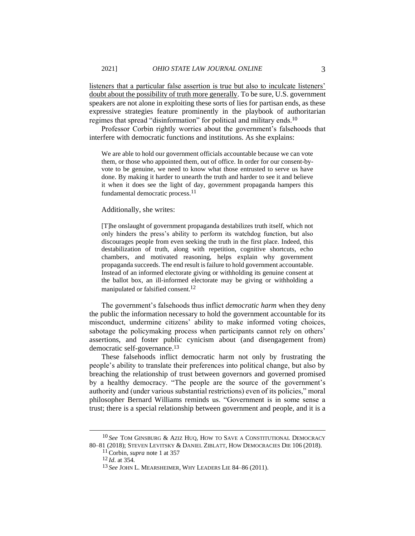[listeners that a particular false assertion is true but also to inculcate listeners'](https://perma.cc/R77P-C3ZR)  [doubt about the possibility of truth more generally.](https://perma.cc/R77P-C3ZR) To be sure, U.S. government speakers are not alone in exploiting these sorts of lies for partisan ends, as these expressive strategies feature prominently in the playbook of authoritarian regimes that spread "disinformation" for political and military ends.<sup>10</sup>

Professor Corbin rightly worries about the government's falsehoods that interfere with democratic functions and institutions. As she explains:

We are able to hold our government officials accountable because we can vote them, or those who appointed them, out of office. In order for our consent-byvote to be genuine, we need to know what those entrusted to serve us have done. By making it harder to unearth the truth and harder to see it and believe it when it does see the light of day, government propaganda hampers this fundamental democratic process.11

#### Additionally, she writes:

[T]he onslaught of government propaganda destabilizes truth itself, which not only hinders the press's ability to perform its watchdog function, but also discourages people from even seeking the truth in the first place. Indeed, this destabilization of truth, along with repetition, cognitive shortcuts, echo chambers, and motivated reasoning, helps explain why government propaganda succeeds. The end result is failure to hold government accountable. Instead of an informed electorate giving or withholding its genuine consent at the ballot box, an ill-informed electorate may be giving or withholding a manipulated or falsified consent.12

The government's falsehoods thus inflict *democratic harm* when they deny the public the information necessary to hold the government accountable for its misconduct, undermine citizens' ability to make informed voting choices, sabotage the policymaking process when participants cannot rely on others' assertions, and foster public cynicism about (and disengagement from) democratic self-governance.<sup>13</sup>

These falsehoods inflict democratic harm not only by frustrating the people's ability to translate their preferences into political change, but also by breaching the relationship of trust between governors and governed promised by a healthy democracy. "The people are the source of the government's authority and (under various substantial restrictions) even of its policies," moral philosopher Bernard Williams reminds us. "Government is in some sense a trust; there is a special relationship between government and people, and it is a

<sup>&</sup>lt;sup>10</sup> See TOM GINSBURG & AZIZ HUQ, HOW TO SAVE A CONSTITUTIONAL DEMOCRACY 80–81 (2018); STEVEN LEVITSKY & DANIEL ZIBLATT, HOW DEMOCRACIES DIE 106 (2018).

<sup>11</sup>Corbin, *supra* note 1 at 357

<sup>12</sup> *Id*. at 354.

<sup>13</sup> *See* JOHN L. MEARSHEIMER, WHY LEADERS LIE 84–86 (2011).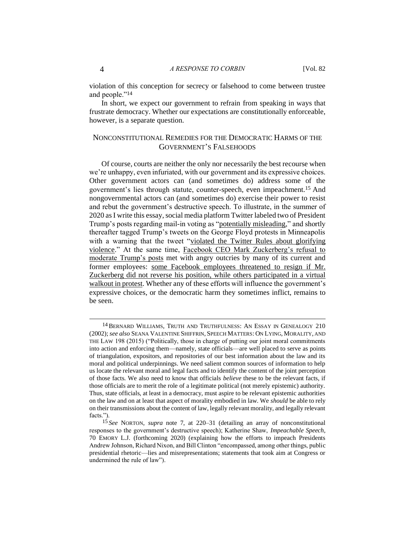violation of this conception for secrecy or falsehood to come between trustee and people."<sup>14</sup>

In short, we expect our government to refrain from speaking in ways that frustrate democracy. Whether our expectations are constitutionally enforceable, however, is a separate question.

# NONCONSTITUTIONAL REMEDIES FOR THE DEMOCRATIC HARMS OF THE GOVERNMENT'S FALSEHOODS

Of course, courts are neither the only nor necessarily the best recourse when we're unhappy, even infuriated, with our government and its expressive choices. Other government actors can (and sometimes do) address some of the government's lies through statute, counter-speech, even impeachment.<sup>15</sup> And nongovernmental actors can (and sometimes do) exercise their power to resist and rebut the government's destructive speech. To illustrate, in the summer of 2020 as I write this essay, social media platform Twitter labeled two of President Trump's posts regarding mail-in voting as ["potentially misleading,](https://perma.cc/SHU6-RFVD)" and shortly thereafter tagged Trump's tweets on the George Floyd protests in Minneapolis with a warning that the tweet ["violated the Twitter Rules about glorifying](https://twitter.com/realDonaldTrump/status/1266231100780744704)  [violence.](https://twitter.com/realDonaldTrump/status/1266231100780744704)" At the same time, [Facebook CEO Mark Zuckerberg's refusal to](https://perma.cc/6GBC-P45F)  [moderate Trump's posts](https://perma.cc/6GBC-P45F) met with angry outcries by many of its current and former employees: [some Facebook employees threatened to resign if Mr.](https://perma.cc/3CUT-PTFB)  [Zuckerberg did not reverse his position, while others participated in a virtual](https://perma.cc/3CUT-PTFB)  [walkout in protest.](https://perma.cc/3CUT-PTFB) Whether any of these efforts will influence the government's expressive choices, or the democratic harm they sometimes inflict, remains to be seen.

<sup>&</sup>lt;sup>14</sup> BERNARD WILLIAMS, TRUTH AND TRUTHFULNESS: AN ESSAY IN GENEALOGY 210 (2002); *see also* SEANA VALENTINE SHIFFRIN, SPEECH MATTERS: ON LYING, MORALITY, AND THE LAW 198 (2015) ("Politically, those in charge of putting our joint moral commitments into action and enforcing them—namely, state officials—are well placed to serve as points of triangulation, expositors, and repositories of our best information about the law and its moral and political underpinnings. We need salient common sources of information to help us locate the relevant moral and legal facts and to identify the content of the joint perception of those facts. We also need to know that officials *believe* these to be the relevant facts, if those officials are to merit the role of a legitimate political (not merely epistemic) authority. Thus, state officials, at least in a democracy, must aspire to be relevant epistemic authorities on the law and on at least that aspect of morality embodied in law. We *should* be able to rely on their transmissions about the content of law, legally relevant morality, and legally relevant facts.").

<sup>15</sup> *See* NORTON, *supra* note 7, at 220–31 (detailing an array of nonconstitutional responses to the government's destructive speech); Katherine Shaw, *Impeachable Speech*, 70 EMORY L.J. (forthcoming 2020) (explaining how the efforts to impeach Presidents Andrew Johnson, Richard Nixon, and Bill Clinton "encompassed, among other things, public presidential rhetoric—lies and misrepresentations; statements that took aim at Congress or undermined the rule of law").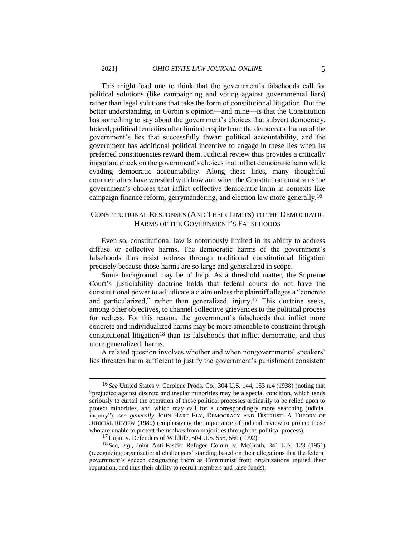This might lead one to think that the government's falsehoods call for political solutions (like campaigning and voting against governmental liars) rather than legal solutions that take the form of constitutional litigation. But the better understanding, in Corbin's opinion—and mine—is that the Constitution has something to say about the government's choices that subvert democracy. Indeed, political remedies offer limited respite from the democratic harms of the government's lies that successfully thwart political accountability, and the government has additional political incentive to engage in these lies when its preferred constituencies reward them. Judicial review thus provides a critically important check on the government's choices that inflict democratic harm while evading democratic accountability. Along these lines, many thoughtful commentators have wrestled with how and when the Constitution constrains the government's choices that inflict collective democratic harm in contexts like campaign finance reform, gerrymandering, and election law more generally.<sup>16</sup>

## CONSTITUTIONAL RESPONSES (AND THEIR LIMITS) TO THE DEMOCRATIC HARMS OF THE GOVERNMENT'S FALSEHOODS

Even so, constitutional law is notoriously limited in its ability to address diffuse or collective harms. The democratic harms of the government's falsehoods thus resist redress through traditional constitutional litigation precisely because those harms are so large and generalized in scope.

Some background may be of help. As a threshold matter, the Supreme Court's justiciability doctrine holds that federal courts do not have the constitutional power to adjudicate a claim unless the plaintiff alleges a "concrete and particularized," rather than generalized, injury.<sup>17</sup> This doctrine seeks, among other objectives, to channel collective grievances to the political process for redress. For this reason, the government's falsehoods that inflict more concrete and individualized harms may be more amenable to constraint through constitutional litigation<sup>18</sup> than its falsehoods that inflict democratic, and thus more generalized, harms.

A related question involves whether and when nongovernmental speakers' lies threaten harm sufficient to justify the government's punishment consistent

<sup>16</sup> *See* United States v. Carolene Prods. Co., 304 U.S. 144, 153 n.4 (1938) (noting that "prejudice against discrete and insular minorities may be a special condition, which tends seriously to curtail the operation of those political processes ordinarily to be relied upon to protect minorities, and which may call for a correspondingly more searching judicial inquiry"); *see generally* JOHN HART ELY, DEMOCRACY AND DISTRUST: A THEORY OF JUDICIAL REVIEW (1980) (emphasizing the importance of judicial review to protect those who are unable to protect themselves from majorities through the political process).

 $17$  Lujan v. Defenders of Wildlife, 504 U.S. 555, 560 (1992).

<sup>18</sup> *See, e.g.*, Joint Anti-Fascist Refugee Comm. v. McGrath, 341 U.S. 123 (1951) (recognizing organizational challengers' standing based on their allegations that the federal government's speech designating them as Communist front organizations injured their reputation, and thus their ability to recruit members and raise funds).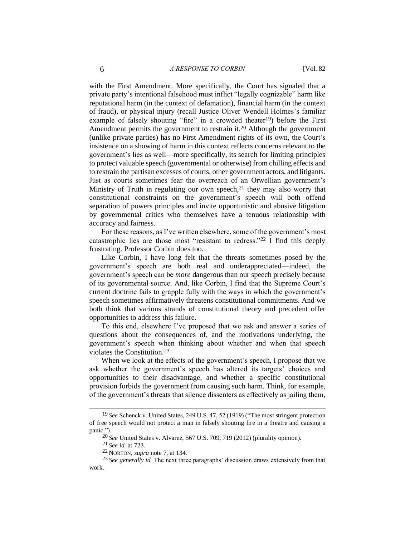with the First Amendment. More specifically, the Court has signaled that a private party's intentional falsehood must inflict "legally cognizable" harm like reputational harm (in the context of defamation), financial harm (in the context of fraud), or physical injury (recall Justice Oliver Wendell Holmes's familiar example of falsely shouting "fire" in a crowded theater<sup>19</sup>) before the First Amendment permits the government to restrain it.<sup>20</sup> Although the government (unlike private parties) has no First Amendment rights of its own, the Court's insistence on a showing of harm in this context reflects concerns relevant to the government's lies as well—more specifically, its search for limiting principles to protect valuable speech (governmental or otherwise) from chilling effects and to restrain the partisan excesses of courts, other government actors, and litigants. Just as courts sometimes fear the overreach of an Orwellian government's Ministry of Truth in regulating our own speech, $21$  they may also worry that constitutional constraints on the government's speech will both offend separation of powers principles and invite opportunistic and abusive litigation by governmental critics who themselves have a tenuous relationship with accuracy and fairness.

For these reasons, as I've written elsewhere, some of the government's most catastrophic lies are those most "resistant to redress."<sup>22</sup> I find this deeply frustrating. Professor Corbin does too.

Like Corbin, I have long felt that the threats sometimes posed by the government's speech are both real and underappreciated—indeed, the government's speech can be *more* dangerous than our speech precisely because of its governmental source. And, like Corbin, I find that the Supreme Court's current doctrine fails to grapple fully with the ways in which the government's speech sometimes affirmatively threatens constitutional commitments. And we both think that various strands of constitutional theory and precedent offer opportunities to address this failure.

To this end, elsewhere I've proposed that we ask and answer a series of questions about the consequences of, and the motivations underlying, the government's speech when thinking about whether and when that speech violates the Constitution.<sup>23</sup>

When we look at the effects of the government's speech, I propose that we ask whether the government's speech has altered its targets' choices and opportunities to their disadvantage, and whether a specific constitutional provision forbids the government from causing such harm. Think, for example, of the government's threats that silence dissenters as effectively as jailing them,

<sup>19</sup> *See* Schenck v. United States, 249 U.S. 47, 52 (1919) ("The most stringent protection of free speech would not protect a man in falsely shouting fire in a theatre and causing a panic.").

<sup>20</sup> *See* United States v. Alvarez, 567 U.S. 709, 719 (2012) (plurality opinion).

<sup>21</sup> *See id.* at 723.

<sup>22</sup> NORTON, *supra* note 7, at 134.

<sup>23</sup> *See generally id.* The next three paragraphs' discussion draws extensively from that work.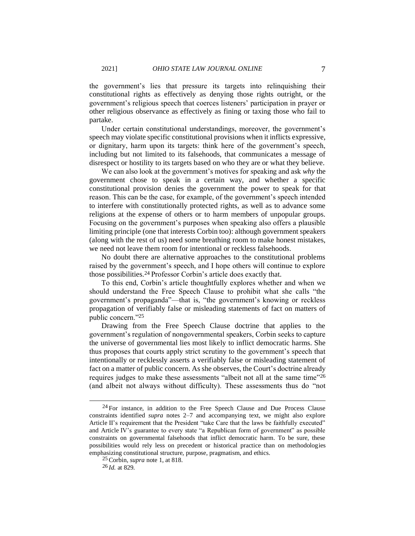the government's lies that pressure its targets into relinquishing their constitutional rights as effectively as denying those rights outright, or the government's religious speech that coerces listeners' participation in prayer or other religious observance as effectively as fining or taxing those who fail to partake.

Under certain constitutional understandings, moreover, the government's speech may violate specific constitutional provisions when it inflicts expressive, or dignitary, harm upon its targets: think here of the government's speech, including but not limited to its falsehoods, that communicates a message of disrespect or hostility to its targets based on who they are or what they believe.

We can also look at the government's motives for speaking and ask *why* the government chose to speak in a certain way, and whether a specific constitutional provision denies the government the power to speak for that reason. This can be the case, for example, of the government's speech intended to interfere with constitutionally protected rights, as well as to advance some religions at the expense of others or to harm members of unpopular groups. Focusing on the government's purposes when speaking also offers a plausible limiting principle (one that interests Corbin too): although government speakers (along with the rest of us) need some breathing room to make honest mistakes, we need not leave them room for intentional or reckless falsehoods.

No doubt there are alternative approaches to the constitutional problems raised by the government's speech, and I hope others will continue to explore those possibilities.<sup>24</sup> Professor Corbin's article does exactly that.

To this end, Corbin's article thoughtfully explores whether and when we should understand the Free Speech Clause to prohibit what she calls "the government's propaganda"—that is, "the government's knowing or reckless propagation of verifiably false or misleading statements of fact on matters of public concern."<sup>25</sup>

Drawing from the Free Speech Clause doctrine that applies to the government's regulation of nongovernmental speakers, Corbin seeks to capture the universe of governmental lies most likely to inflict democratic harms. She thus proposes that courts apply strict scrutiny to the government's speech that intentionally or recklessly asserts a verifiably false or misleading statement of fact on a matter of public concern. As she observes, the Court's doctrine already requires judges to make these assessments "albeit not all at the same time"<sup>26</sup> (and albeit not always without difficulty). These assessments thus do "not

 $24$  For instance, in addition to the Free Speech Clause and Due Process Clause constraints identified *supra* notes 2–7 and accompanying text, we might also explore Article II's requirement that the President "take Care that the laws be faithfully executed" and Article IV's guarantee to every state "a Republican form of government" as possible constraints on governmental falsehoods that inflict democratic harm. To be sure, these possibilities would rely less on precedent or historical practice than on methodologies emphasizing constitutional structure, purpose, pragmatism, and ethics.

<sup>25</sup>Corbin, *supra* note 1, at 818.

<sup>26</sup> *Id.* at 829.